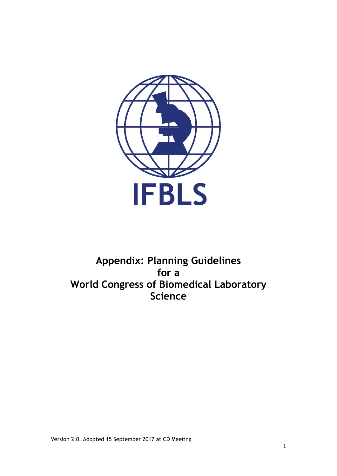

# **Appendix: Planning Guidelines for a World Congress of Biomedical Laboratory Science**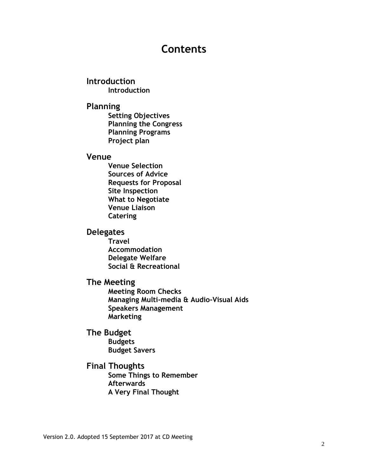# **Contents**

**Introduction Introduction**

### **Planning**

**Setting Objectives Planning the Congress Planning Programs Project plan**

### **Venue**

**Venue Selection Sources of Advice Requests for Proposal Site Inspection What to Negotiate Venue Liaison Catering**

### **Delegates**

**Travel Accommodation Delegate Welfare Social & Recreational**

### **The Meeting**

**Meeting Room Checks Managing Multi-media & Audio-Visual Aids Speakers Management Marketing**

### **The Budget**

**Budgets Budget Savers**

### **Final Thoughts**

**Some Things to Remember Afterwards A Very Final Thought**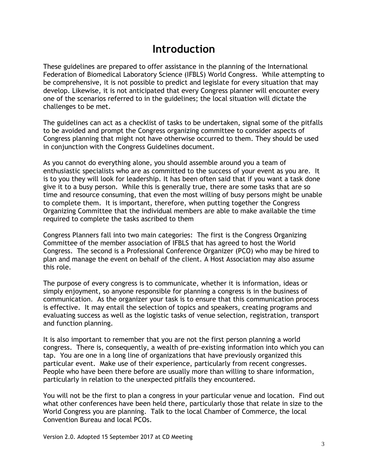# **Introduction**

These guidelines are prepared to offer assistance in the planning of the International Federation of Biomedical Laboratory Science (IFBLS) World Congress. While attempting to be comprehensive, it is not possible to predict and legislate for every situation that may develop. Likewise, it is not anticipated that every Congress planner will encounter every one of the scenarios referred to in the guidelines; the local situation will dictate the challenges to be met.

The guidelines can act as a checklist of tasks to be undertaken, signal some of the pitfalls to be avoided and prompt the Congress organizing committee to consider aspects of Congress planning that might not have otherwise occurred to them. They should be used in conjunction with the Congress Guidelines document.

As you cannot do everything alone, you should assemble around you a team of enthusiastic specialists who are as committed to the success of your event as you are. It is to you they will look for leadership. It has been often said that if you want a task done give it to a busy person. While this is generally true, there are some tasks that are so time and resource consuming, that even the most willing of busy persons might be unable to complete them. It is important, therefore, when putting together the Congress Organizing Committee that the individual members are able to make available the time required to complete the tasks ascribed to them

Congress Planners fall into two main categories: The first is the Congress Organizing Committee of the member association of IFBLS that has agreed to host the World Congress. The second is a Professional Conference Organizer (PCO) who may be hired to plan and manage the event on behalf of the client. A Host Association may also assume this role.

The purpose of every congress is to communicate, whether it is information, ideas or simply enjoyment, so anyone responsible for planning a congress is in the business of communication. As the organizer your task is to ensure that this communication process is effective. It may entail the selection of topics and speakers, creating programs and evaluating success as well as the logistic tasks of venue selection, registration, transport and function planning.

It is also important to remember that you are not the first person planning a world congress. There is, consequently, a wealth of pre-existing information into which you can tap. You are one in a long line of organizations that have previously organized this particular event. Make use of their experience, particularly from recent congresses. People who have been there before are usually more than willing to share information, particularly in relation to the unexpected pitfalls they encountered.

You will not be the first to plan a congress in your particular venue and location. Find out what other conferences have been held there, particularly those that relate in size to the World Congress you are planning. Talk to the local Chamber of Commerce, the local Convention Bureau and local PCOs.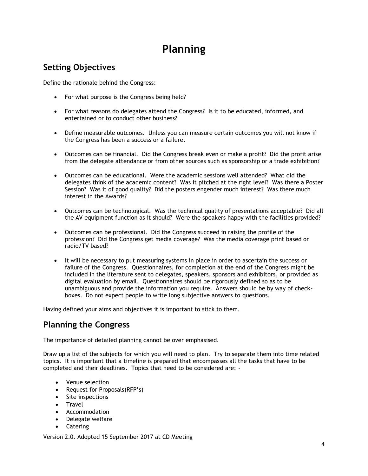# **Planning**

# **Setting Objectives**

Define the rationale behind the Congress:

- For what purpose is the Congress being held?
- For what reasons do delegates attend the Congress? Is it to be educated, informed, and entertained or to conduct other business?
- Define measurable outcomes. Unless you can measure certain outcomes you will not know if the Congress has been a success or a failure.
- Outcomes can be financial. Did the Congress break even or make a profit? Did the profit arise from the delegate attendance or from other sources such as sponsorship or a trade exhibition?
- Outcomes can be educational. Were the academic sessions well attended? What did the delegates think of the academic content? Was it pitched at the right level? Was there a Poster Session? Was it of good quality? Did the posters engender much interest? Was there much interest in the Awards?
- Outcomes can be technological. Was the technical quality of presentations acceptable? Did all the AV equipment function as it should? Were the speakers happy with the facilities provided?
- Outcomes can be professional. Did the Congress succeed in raising the profile of the profession? Did the Congress get media coverage? Was the media coverage print based or radio/TV based?
- It will be necessary to put measuring systems in place in order to ascertain the success or failure of the Congress. Questionnaires, for completion at the end of the Congress might be included in the literature sent to delegates, speakers, sponsors and exhibitors, or provided as digital evaluation by email. Questionnaires should be rigorously defined so as to be unambiguous and provide the information you require. Answers should be by way of checkboxes. Do not expect people to write long subjective answers to questions.

Having defined your aims and objectives it is important to stick to them.

## **Planning the Congress**

The importance of detailed planning cannot be over emphasised.

Draw up a list of the subjects for which you will need to plan. Try to separate them into time related topics. It is important that a timeline is prepared that encompasses all the tasks that have to be completed and their deadlines. Topics that need to be considered are: -

- Venue selection
- Request for Proposals(RFP's)
- Site inspections
- Travel
- **•** Accommodation
- Delegate welfare
- Catering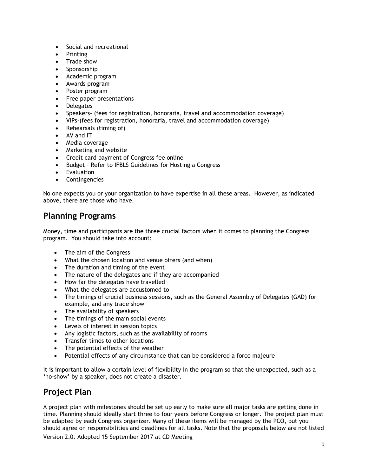- Social and recreational
- Printing
- Trade show
- Sponsorship
- Academic program
- Awards program
- Poster program
- Free paper presentations
- Delegates
- Speakers- (fees for registration, honoraria, travel and accommodation coverage)
- VIPs-(fees for registration, honoraria, travel and accommodation coverage)
- Rehearsals (timing of)
- AV and IT
- Media coverage
- Marketing and website
- Credit card payment of Congress fee online
- Budget Refer to IFBLS Guidelines for Hosting a Congress
- Evaluation
- Contingencies

No one expects you or your organization to have expertise in all these areas. However, as indicated above, there are those who have.

## **Planning Programs**

Money, time and participants are the three crucial factors when it comes to planning the Congress program. You should take into account:

- The aim of the Congress
- What the chosen location and venue offers (and when)
- The duration and timing of the event
- The nature of the delegates and if they are accompanied
- How far the delegates have travelled
- What the delegates are accustomed to
- The timings of crucial business sessions, such as the General Assembly of Delegates (GAD) for example, and any trade show
- The availability of speakers
- The timings of the main social events
- Levels of interest in session topics
- Any logistic factors, such as the availability of rooms
- Transfer times to other locations
- The potential effects of the weather
- Potential effects of any circumstance that can be considered a force majeure

It is important to allow a certain level of flexibility in the program so that the unexpected, such as a 'no-show' by a speaker, does not create a disaster.

## **Project Plan**

Version 2.0. Adopted 15 September 2017 at CD Meeting A project plan with milestones should be set up early to make sure all major tasks are getting done in time. Planning should ideally start three to four years before Congress or longer. The project plan must be adapted by each Congress organizer. Many of these items will be managed by the PCO, but you should agree on responsibilities and deadlines for all tasks. Note that the proposals below are not listed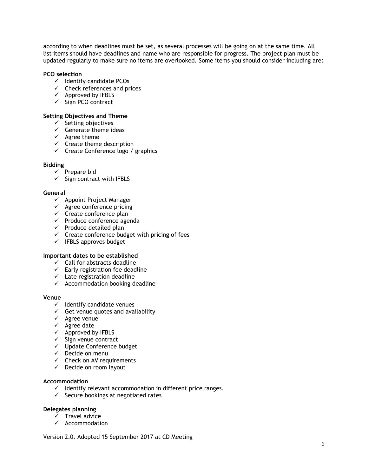according to when deadlines must be set, as several processes will be going on at the same time. All list items should have deadlines and name who are responsible for progress. The project plan must be updated regularly to make sure no items are overlooked. Some items you should consider including are:

#### **PCO selection**

- $\checkmark$  Identify candidate PCOs
- $\checkmark$  Check references and prices
- $\checkmark$  Approved by IFBLS
- $\checkmark$  Sign PCO contract

#### **Setting Objectives and Theme**

- $\checkmark$  Setting objectives
- $\checkmark$  Generate theme ideas
- $\checkmark$  Agree theme
- $\checkmark$  Create theme description
- $\checkmark$  Create Conference logo / graphics

#### **Bidding**

- $\checkmark$  Prepare bid
- $\checkmark$  Sign contract with IFBLS

#### **General**

- $\checkmark$  Appoint Project Manager
- $\checkmark$  Agree conference pricing
- $\checkmark$  Create conference plan
- $\checkmark$  Produce conference agenda
- $\checkmark$  Produce detailed plan
- $\checkmark$  Create conference budget with pricing of fees
- $\checkmark$  IFBLS approves budget

#### **Important dates to be established**

- $\checkmark$  Call for abstracts deadline
- $\checkmark$  Early registration fee deadline
- $\checkmark$  Late registration deadline
- $\checkmark$  Accommodation booking deadline

#### **Venue**

- $\checkmark$  Identify candidate venues
- $\checkmark$  Get venue quotes and availability
- $\checkmark$  Agree venue
- $\checkmark$  Agree date
- $\checkmark$  Approved by IFBLS
- $\checkmark$  Sign venue contract
- $\checkmark$  Update Conference budget
- $\checkmark$  Decide on menu
- $\checkmark$  Check on AV requirements
- $\checkmark$  Decide on room layout

#### **Accommodation**

- $\checkmark$  Identify relevant accommodation in different price ranges.
- $\checkmark$  Secure bookings at negotiated rates

#### **Delegates planning**

- $\times$  Travel advice
- $\checkmark$  Accommodation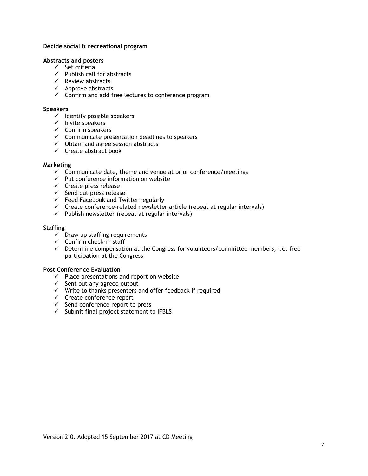#### **Decide social & recreational program**

#### **Abstracts and posters**

- $\checkmark$  Set criteria
- $\checkmark$  Publish call for abstracts
- $\checkmark$  Review abstracts
- $\checkmark$  Approve abstracts
- $\checkmark$  Confirm and add free lectures to conference program

#### **Speakers**

- $\checkmark$  Identify possible speakers
- $\checkmark$  Invite speakers
- $\checkmark$  Confirm speakers
- $\checkmark$  Communicate presentation deadlines to speakers
- $\checkmark$  Obtain and agree session abstracts
- $\checkmark$  Create abstract book

#### **Marketing**

- $\checkmark$  Communicate date, theme and venue at prior conference/meetings
- $\checkmark$  Put conference information on website
- $\checkmark$  Create press release
- $\checkmark$  Send out press release
- $\checkmark$  Feed Facebook and Twitter regularly
- $\checkmark$  Create conference-related newsletter article (repeat at regular intervals)
- $\checkmark$  Publish newsletter (repeat at regular intervals)

#### **Staffing**

- $\checkmark$  Draw up staffing requirements
- $\checkmark$  Confirm check-in staff
- $\checkmark$  Determine compensation at the Congress for volunteers/committee members, i.e. free participation at the Congress

#### **Post Conference Evaluation**

- $\checkmark$  Place presentations and report on website
- $\checkmark$  Sent out any agreed output
- $\checkmark$  Write to thanks presenters and offer feedback if required
- $\checkmark$  Create conference report
- $\checkmark$  Send conference report to press
- $\checkmark$  Submit final project statement to IFBLS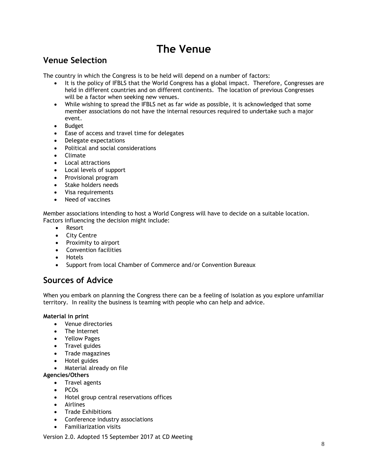# **The Venue**

# **Venue Selection**

The country in which the Congress is to be held will depend on a number of factors:

- It is the policy of IFBLS that the World Congress has a global impact. Therefore, Congresses are held in different countries and on different continents. The location of previous Congresses will be a factor when seeking new venues.
- While wishing to spread the IFBLS net as far wide as possible, it is acknowledged that some member associations do not have the internal resources required to undertake such a major event.
- Budget
- Ease of access and travel time for delegates
- Delegate expectations
- Political and social considerations
- Climate
- Local attractions
- Local levels of support
- Provisional program
- Stake holders needs
- Visa requirements
- Need of vaccines

Member associations intending to host a World Congress will have to decide on a suitable location. Factors influencing the decision might include:

- Resort
- City Centre
- Proximity to airport
- Convention facilities
- Hotels
- Support from local Chamber of Commerce and/or Convention Bureaux

# **Sources of Advice**

When you embark on planning the Congress there can be a feeling of isolation as you explore unfamiliar territory. In reality the business is teaming with people who can help and advice.

#### **Material in print**

- Venue directories
- The Internet
- Yellow Pages
- Travel guides
- Trade magazines
- Hotel guides
- Material already on file
- **Agencies/Others**
	- Travel agents
	- PCOs
	- Hotel group central reservations offices
	- Airlines
	- Trade Exhibitions
	- Conference industry associations
	- Familiarization visits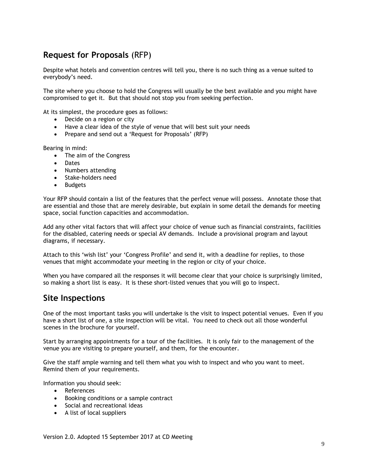## **Request for Proposals** (RFP)

Despite what hotels and convention centres will tell you, there is no such thing as a venue suited to everybody's need.

The site where you choose to hold the Congress will usually be the best available and you might have compromised to get it. But that should not stop you from seeking perfection.

At its simplest, the procedure goes as follows:

- Decide on a region or city
- Have a clear idea of the style of venue that will best suit your needs
- Prepare and send out a 'Request for Proposals' (RFP)

Bearing in mind:

- The aim of the Congress
- Dates
- Numbers attending
- Stake-holders need
- Budgets

Your RFP should contain a list of the features that the perfect venue will possess. Annotate those that are essential and those that are merely desirable, but explain in some detail the demands for meeting space, social function capacities and accommodation.

Add any other vital factors that will affect your choice of venue such as financial constraints, facilities for the disabled, catering needs or special AV demands. Include a provisional program and layout diagrams, if necessary.

Attach to this 'wish list' your 'Congress Profile' and send it, with a deadline for replies, to those venues that might accommodate your meeting in the region or city of your choice.

When you have compared all the responses it will become clear that your choice is surprisingly limited, so making a short list is easy. It is these short-listed venues that you will go to inspect.

### **Site Inspections**

One of the most important tasks you will undertake is the visit to inspect potential venues. Even if you have a short list of one, a site inspection will be vital. You need to check out all those wonderful scenes in the brochure for yourself.

Start by arranging appointments for a tour of the facilities. It is only fair to the management of the venue you are visiting to prepare yourself, and them, for the encounter.

Give the staff ample warning and tell them what you wish to inspect and who you want to meet. Remind them of your requirements.

Information you should seek:

- References
- Booking conditions or a sample contract
- Social and recreational ideas
- A list of local suppliers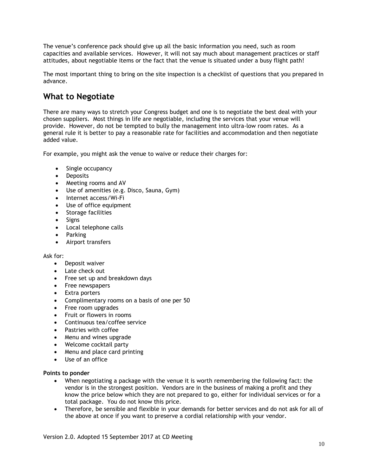The venue's conference pack should give up all the basic information you need, such as room capacities and available services. However, it will not say much about management practices or staff attitudes, about negotiable items or the fact that the venue is situated under a busy flight path!

The most important thing to bring on the site inspection is a checklist of questions that you prepared in advance.

# **What to Negotiate**

There are many ways to stretch your Congress budget and one is to negotiate the best deal with your chosen suppliers. Most things in life are negotiable, including the services that your venue will provide. However, do not be tempted to bully the management into ultra-low room rates. As a general rule it is better to pay a reasonable rate for facilities and accommodation and then negotiate added value.

For example, you might ask the venue to waive or reduce their charges for:

- Single occupancy
- Deposits
- Meeting rooms and AV
- Use of amenities (e.g. Disco, Sauna, Gym)
- Internet access/Wi-Fi
- Use of office equipment
- Storage facilities
- Signs
- Local telephone calls
- Parking
- Airport transfers

#### Ask for:

- Deposit waiver
- Late check out
- Free set up and breakdown days
- Free newspapers
- Extra porters
- Complimentary rooms on a basis of one per 50
- Free room upgrades
- Fruit or flowers in rooms
- Continuous tea/coffee service
- Pastries with coffee
- Menu and wines upgrade
- Welcome cocktail party
- Menu and place card printing
- Use of an office

#### **Points to ponder**

- When negotiating a package with the venue it is worth remembering the following fact: the vendor is in the strongest position. Vendors are in the business of making a profit and they know the price below which they are not prepared to go, either for individual services or for a total package. You do not know this price.
- Therefore, be sensible and flexible in your demands for better services and do not ask for all of the above at once if you want to preserve a cordial relationship with your vendor.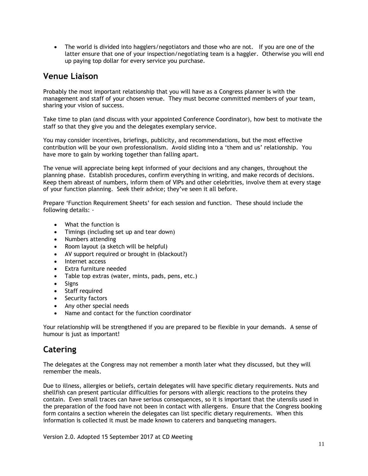• The world is divided into hagglers/negotiators and those who are not. If you are one of the latter ensure that one of your inspection/negotiating team is a haggler. Otherwise you will end up paying top dollar for every service you purchase.

## **Venue Liaison**

Probably the most important relationship that you will have as a Congress planner is with the management and staff of your chosen venue. They must become committed members of your team, sharing your vision of success.

Take time to plan (and discuss with your appointed Conference Coordinator), how best to motivate the staff so that they give you and the delegates exemplary service.

You may consider incentives, briefings, publicity, and recommendations, but the most effective contribution will be your own professionalism. Avoid sliding into a 'them and us' relationship. You have more to gain by working together than falling apart.

The venue will appreciate being kept informed of your decisions and any changes, throughout the planning phase. Establish procedures, confirm everything in writing, and make records of decisions. Keep them abreast of numbers, inform them of VIPs and other celebrities, involve them at every stage of your function planning. Seek their advice; they've seen it all before.

Prepare 'Function Requirement Sheets' for each session and function. These should include the following details: -

- What the function is
- Timings (including set up and tear down)
- Numbers attending
- Room layout (a sketch will be helpful)
- AV support required or brought in (blackout?)
- Internet access
- Extra furniture needed
- Table top extras (water, mints, pads, pens, etc.)
- Signs
- Staff required
- Security factors
- Any other special needs
- Name and contact for the function coordinator

Your relationship will be strengthened if you are prepared to be flexible in your demands. A sense of humour is just as important!

# **Catering**

The delegates at the Congress may not remember a month later what they discussed, but they will remember the meals.

Due to illness, allergies or beliefs, certain delegates will have specific dietary requirements. Nuts and shellfish can present particular difficulties for persons with allergic reactions to the proteins they contain. Even small traces can have serious consequences, so it is important that the utensils used in the preparation of the food have not been in contact with allergens. Ensure that the Congress booking form contains a section wherein the delegates can list specific dietary requirements. When this information is collected it must be made known to caterers and banqueting managers.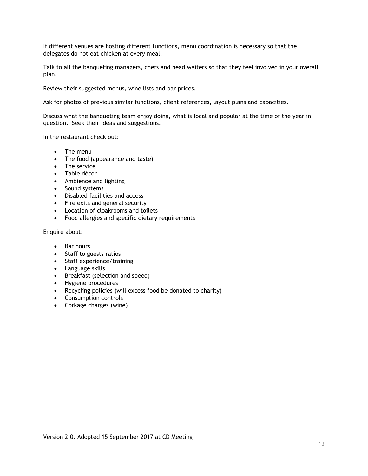If different venues are hosting different functions, menu coordination is necessary so that the delegates do not eat chicken at every meal.

Talk to all the banqueting managers, chefs and head waiters so that they feel involved in your overall plan.

Review their suggested menus, wine lists and bar prices.

Ask for photos of previous similar functions, client references, layout plans and capacities.

Discuss what the banqueting team enjoy doing, what is local and popular at the time of the year in question. Seek their ideas and suggestions.

In the restaurant check out:

- The menu
- The food (appearance and taste)
- The service
- Table décor
- Ambience and lighting
- Sound systems
- Disabled facilities and access
- Fire exits and general security
- Location of cloakrooms and toilets
- Food allergies and specific dietary requirements

Enquire about:

- Bar hours
- Staff to guests ratios
- Staff experience/training
- Language skills
- Breakfast (selection and speed)
- Hygiene procedures
- Recycling policies (will excess food be donated to charity)
- Consumption controls
- Corkage charges (wine)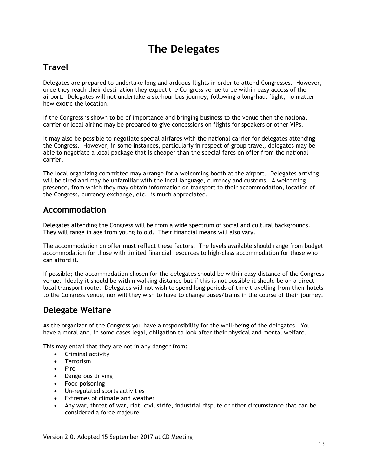# **The Delegates**

# **Travel**

Delegates are prepared to undertake long and arduous flights in order to attend Congresses. However, once they reach their destination they expect the Congress venue to be within easy access of the airport. Delegates will not undertake a six-hour bus journey, following a long-haul flight, no matter how exotic the location.

If the Congress is shown to be of importance and bringing business to the venue then the national carrier or local airline may be prepared to give concessions on flights for speakers or other VIPs.

It may also be possible to negotiate special airfares with the national carrier for delegates attending the Congress. However, in some instances, particularly in respect of group travel, delegates may be able to negotiate a local package that is cheaper than the special fares on offer from the national carrier.

The local organizing committee may arrange for a welcoming booth at the airport. Delegates arriving will be tired and may be unfamiliar with the local language, currency and customs. A welcoming presence, from which they may obtain information on transport to their accommodation, location of the Congress, currency exchange, etc., is much appreciated.

### **Accommodation**

Delegates attending the Congress will be from a wide spectrum of social and cultural backgrounds. They will range in age from young to old. Their financial means will also vary.

The accommodation on offer must reflect these factors. The levels available should range from budget accommodation for those with limited financial resources to high-class accommodation for those who can afford it.

If possible; the accommodation chosen for the delegates should be within easy distance of the Congress venue. Ideally it should be within walking distance but if this is not possible it should be on a direct local transport route. Delegates will not wish to spend long periods of time travelling from their hotels to the Congress venue, nor will they wish to have to change buses/trains in the course of their journey.

# **Delegate Welfare**

As the organizer of the Congress you have a responsibility for the well-being of the delegates. You have a moral and, in some cases legal, obligation to look after their physical and mental welfare.

This may entail that they are not in any danger from:

- Criminal activity
- Terrorism
- Fire
- Dangerous driving
- Food poisoning
- Un-regulated sports activities
- Extremes of climate and weather
- Any war, threat of war, riot, civil strife, industrial dispute or other circumstance that can be considered a force majeure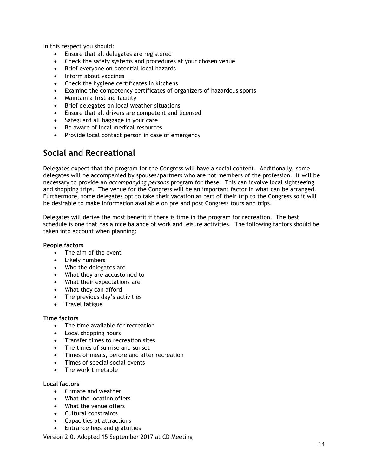In this respect you should:

- Ensure that all delegates are registered
- Check the safety systems and procedures at your chosen venue
- Brief everyone on potential local hazards
- Inform about vaccines
- Check the hygiene certificates in kitchens
- Examine the competency certificates of organizers of hazardous sports
- Maintain a first aid facility
- Brief delegates on local weather situations
- Ensure that all drivers are competent and licensed
- Safeguard all baggage in your care
- Be aware of local medical resources
- Provide local contact person in case of emergency

## **Social and Recreational**

Delegates expect that the program for the Congress will have a social content. Additionally, some delegates will be accompanied by spouses/partners who are not members of the profession. It will be necessary to provide an *accompanying persons* program for these. This can involve local sightseeing and shopping trips. The venue for the Congress will be an important factor in what can be arranged. Furthermore, some delegates opt to take their vacation as part of their trip to the Congress so it will be desirable to make information available on pre and post Congress tours and trips.

Delegates will derive the most benefit if there is time in the program for recreation. The best schedule is one that has a nice balance of work and leisure activities. The following factors should be taken into account when planning:

#### **People factors**

- The aim of the event
- Likely numbers
- Who the delegates are
- What they are accustomed to
- What their expectations are
- What they can afford
- The previous day's activities
- Travel fatigue

#### **Time factors**

- The time available for recreation
- Local shopping hours
- Transfer times to recreation sites
- The times of sunrise and sunset
- Times of meals, before and after recreation
- Times of special social events
- The work timetable

#### **Local factors**

- Climate and weather
- What the location offers
- What the venue offers
- Cultural constraints
- Capacities at attractions
- Entrance fees and gratuities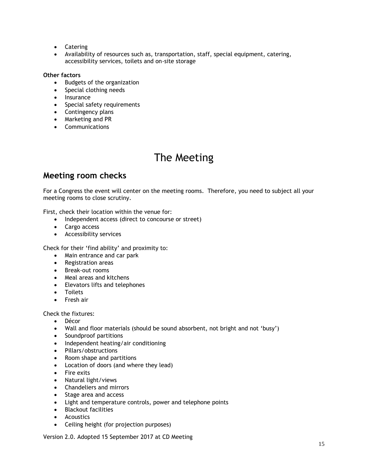- Catering
- Availability of resources such as, transportation, staff, special equipment, catering, accessibility services, toilets and on-site storage

#### **Other factors**

- Budgets of the organization
- Special clothing needs
- Insurance
- Special safety requirements
- Contingency plans
- Marketing and PR
- Communications

# The Meeting

# **Meeting room checks**

For a Congress the event will center on the meeting rooms. Therefore, you need to subject all your meeting rooms to close scrutiny.

First, check their location within the venue for:

- Independent access (direct to concourse or street)
- Cargo access
- Accessibility services

Check for their 'find ability' and proximity to:

- Main entrance and car park
- Registration areas
- Break-out rooms
- Meal areas and kitchens
- Elevators lifts and telephones
- Toilets
- Fresh air

Check the fixtures:

- Décor
- Wall and floor materials (should be sound absorbent, not bright and not 'busy')
- Soundproof partitions
- Independent heating/air conditioning
- Pillars/obstructions
- Room shape and partitions
- Location of doors (and where they lead)
- Fire exits
- Natural light/views
- Chandeliers and mirrors
- Stage area and access
- Light and temperature controls, power and telephone points
- Blackout facilities
- Acoustics
- Ceiling height (for projection purposes)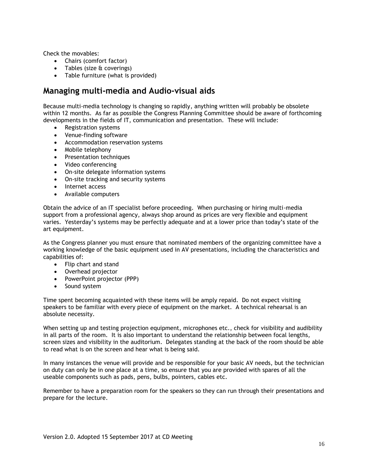Check the movables:

- Chairs (comfort factor)
- Tables (size & coverings)
- Table furniture (what is provided)

## **Managing multi-media and Audio-visual aids**

Because multi-media technology is changing so rapidly, anything written will probably be obsolete within 12 months. As far as possible the Congress Planning Committee should be aware of forthcoming developments in the fields of IT, communication and presentation. These will include:

- Registration systems
- Venue-finding software
- Accommodation reservation systems
- Mobile telephony
- Presentation techniques
- Video conferencing
- On-site delegate information systems
- On-site tracking and security systems
- Internet access
- Available computers

Obtain the advice of an IT specialist before proceeding. When purchasing or hiring multi-media support from a professional agency, always shop around as prices are very flexible and equipment varies. Yesterday's systems may be perfectly adequate and at a lower price than today's state of the art equipment.

As the Congress planner you must ensure that nominated members of the organizing committee have a working knowledge of the basic equipment used in AV presentations, including the characteristics and capabilities of:

- Flip chart and stand
- Overhead projector
- PowerPoint projector (PPP)
- Sound system

Time spent becoming acquainted with these items will be amply repaid. Do not expect visiting speakers to be familiar with every piece of equipment on the market. A technical rehearsal is an absolute necessity.

When setting up and testing projection equipment, microphones etc., check for visibility and audibility in all parts of the room. It is also important to understand the relationship between focal lengths, screen sizes and visibility in the auditorium. Delegates standing at the back of the room should be able to read what is on the screen and hear what is being said.

In many instances the venue will provide and be responsible for your basic AV needs, but the technician on duty can only be in one place at a time, so ensure that you are provided with spares of all the useable components such as pads, pens, bulbs, pointers, cables etc.

Remember to have a preparation room for the speakers so they can run through their presentations and prepare for the lecture.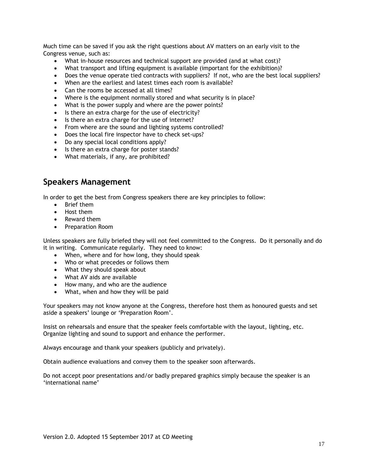Much time can be saved if you ask the right questions about AV matters on an early visit to the Congress venue, such as:

- What in-house resources and technical support are provided (and at what cost)?
- What transport and lifting equipment is available (important for the exhibition)?
- Does the venue operate tied contracts with suppliers? If not, who are the best local suppliers?
- When are the earliest and latest times each room is available?
- Can the rooms be accessed at all times?
- Where is the equipment normally stored and what security is in place?
- What is the power supply and where are the power points?
- Is there an extra charge for the use of electricity?
- Is there an extra charge for the use of internet?
- From where are the sound and lighting systems controlled?
- Does the local fire inspector have to check set-ups?
- Do any special local conditions apply?
- Is there an extra charge for poster stands?
- What materials, if any, are prohibited?

### **Speakers Management**

In order to get the best from Congress speakers there are key principles to follow:

- Brief them
- Host them
- Reward them
- Preparation Room

Unless speakers are fully briefed they will not feel committed to the Congress. Do it personally and do it in writing. Communicate regularly. They need to know:

- When, where and for how long, they should speak
- Who or what precedes or follows them
- What they should speak about
- What AV aids are available
- How many, and who are the audience
- What, when and how they will be paid

Your speakers may not know anyone at the Congress, therefore host them as honoured guests and set aside a speakers' lounge or 'Preparation Room'.

Insist on rehearsals and ensure that the speaker feels comfortable with the layout, lighting, etc. Organize lighting and sound to support and enhance the performer.

Always encourage and thank your speakers (publicly and privately).

Obtain audience evaluations and convey them to the speaker soon afterwards.

Do not accept poor presentations and/or badly prepared graphics simply because the speaker is an 'international name'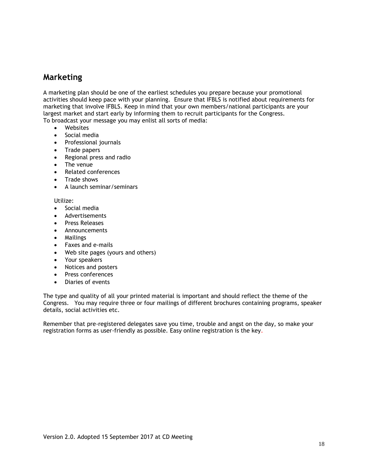### **Marketing**

A marketing plan should be one of the earliest schedules you prepare because your promotional activities should keep pace with your planning. Ensure that IFBLS is notified about requirements for marketing that involve IFBLS. Keep in mind that your own members/national participants are your largest market and start early by informing them to recruit participants for the Congress. To broadcast your message you may enlist all sorts of media:

- Websites
- Social media
- Professional journals
- Trade papers
- Regional press and radio
- The venue
- Related conferences
- Trade shows
- A launch seminar/seminars

Utilize:

- Social media
- Advertisements
- **Press Releases**
- Announcements
- Mailings
- Faxes and e-mails
- Web site pages (yours and others)
- Your speakers
- Notices and posters
- Press conferences
- Diaries of events

The type and quality of all your printed material is important and should reflect the theme of the Congress. You may require three or four mailings of different brochures containing programs, speaker details, social activities etc.

Remember that pre-registered delegates save you time, trouble and angst on the day, so make your registration forms as user-friendly as possible. Easy online registration is the key.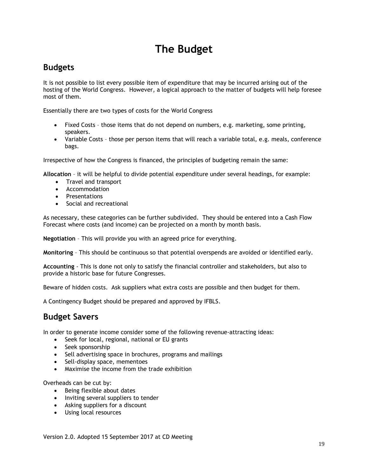# **The Budget**

## **Budgets**

It is not possible to list every possible item of expenditure that may be incurred arising out of the hosting of the World Congress. However, a logical approach to the matter of budgets will help foresee most of them.

Essentially there are two types of costs for the World Congress

- Fixed Costs those items that do not depend on numbers, e.g. marketing, some printing, speakers.
- Variable Costs those per person items that will reach a variable total, e.g. meals, conference bags.

Irrespective of how the Congress is financed, the principles of budgeting remain the same:

**Allocation** – it will be helpful to divide potential expenditure under several headings, for example:

- Travel and transport
- **•** Accommodation
- Presentations
- Social and recreational

As necessary, these categories can be further subdivided. They should be entered into a Cash Flow Forecast where costs (and income) can be projected on a month by month basis.

**Negotiation** – This will provide you with an agreed price for everything.

**Monitoring** – This should be continuous so that potential overspends are avoided or identified early.

**Accounting** - This is done not only to satisfy the financial controller and stakeholders, but also to provide a historic base for future Congresses.

Beware of hidden costs. Ask suppliers what extra costs are possible and then budget for them.

A Contingency Budget should be prepared and approved by IFBLS.

### **Budget Savers**

In order to generate income consider some of the following revenue-attracting ideas:

- Seek for local, regional, national or EU grants
- Seek sponsorship
- Sell advertising space in brochures, programs and mailings
- Sell-display space, mementoes
- Maximise the income from the trade exhibition

Overheads can be cut by:

- Being flexible about dates
- Inviting several suppliers to tender
- Asking suppliers for a discount
- Using local resources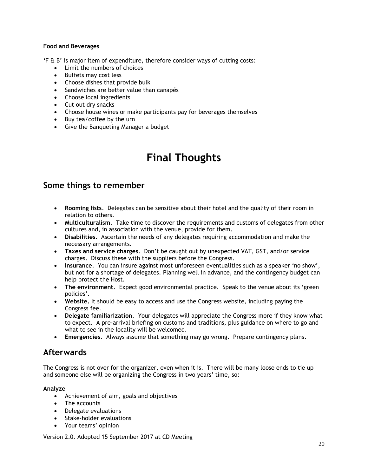#### **Food and Beverages**

'F & B' is major item of expenditure, therefore consider ways of cutting costs:

- Limit the numbers of choices
- Buffets may cost less
- Choose dishes that provide bulk
- Sandwiches are better value than canapés
- Choose local ingredients
- Cut out dry snacks
- Choose house wines or make participants pay for beverages themselves
- Buy tea/coffee by the urn
- Give the Banqueting Manager a budget

# **Final Thoughts**

### **Some things to remember**

- **Rooming lists**. Delegates can be sensitive about their hotel and the quality of their room in relation to others.
- **Multiculturalism**. Take time to discover the requirements and customs of delegates from other cultures and, in association with the venue, provide for them.
- **Disabilities**. Ascertain the needs of any delegates requiring accommodation and make the necessary arrangements.
- **Taxes and service charges**. Don't be caught out by unexpected VAT, GST, and/or service charges. Discuss these with the suppliers before the Congress.
- **Insurance**. You can insure against most unforeseen eventualities such as a speaker 'no show', but not for a shortage of delegates. Planning well in advance, and the contingency budget can help protect the Host.
- **The environment**. Expect good environmental practice. Speak to the venue about its 'green policies'.
- **Website.** It should be easy to access and use the Congress website, including paying the Congress fee.
- **Delegate familiarization**. Your delegates will appreciate the Congress more if they know what to expect. A pre-arrival briefing on customs and traditions, plus guidance on where to go and what to see in the locality will be welcomed.
- **Emergencies**. Always assume that something may go wrong. Prepare contingency plans.

## **Afterwards**

The Congress is not over for the organizer, even when it is. There will be many loose ends to tie up and someone else will be organizing the Congress in two years' time, so:

#### **Analyze**

- Achievement of aim, goals and objectives
- The accounts
- Delegate evaluations
- Stake-holder evaluations
- Your teams' opinion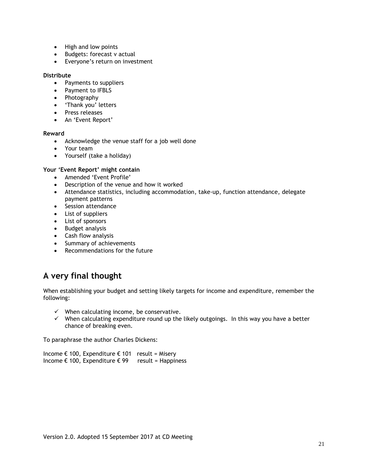- High and low points
- Budgets: forecast v actual
- Everyone's return on investment

#### **Distribute**

- Payments to suppliers
- Payment to IFBLS
- Photography
- 'Thank you' letters
- Press releases
- An 'Event Report'

#### **Reward**

- Acknowledge the venue staff for a job well done
- Your team
- Yourself (take a holiday)

#### **Your 'Event Report' might contain**

- Amended 'Event Profile'
- Description of the venue and how it worked
- Attendance statistics, including accommodation, take-up, function attendance, delegate payment patterns
- Session attendance
- List of suppliers
- List of sponsors
- Budget analysis
- Cash flow analysis
- Summary of achievements
- Recommendations for the future

# **A very final thought**

When establishing your budget and setting likely targets for income and expenditure, remember the following:

- $\checkmark$  When calculating income, be conservative.
- $\checkmark$  When calculating expenditure round up the likely outgoings. In this way you have a better chance of breaking even.

To paraphrase the author Charles Dickens:

Income € 100, Expenditure  $€$  101 result = Misery Income € 100, Expenditure  $€ 99$  result = Happiness